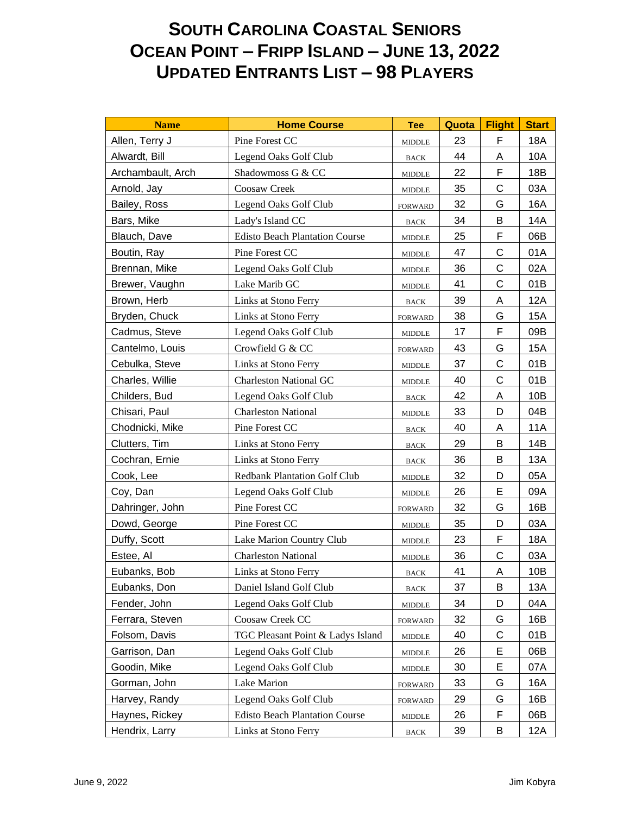## **SOUTH CAROLINA COASTAL SENIORS OCEAN POINT – FRIPP ISLAND – JUNE 13, 2022 UPDATED ENTRANTS LIST – 98 PLAYERS**

| <b>Name</b>       | <b>Home Course</b>                    | <b>Tee</b>                      | Quota | <b>Flight</b> | <b>Start</b> |
|-------------------|---------------------------------------|---------------------------------|-------|---------------|--------------|
| Allen, Terry J    | Pine Forest CC                        | <b>MIDDLE</b>                   | 23    | F             | 18A          |
| Alwardt, Bill     | Legend Oaks Golf Club                 | <b>BACK</b>                     | 44    | A             | 10A          |
| Archambault, Arch | Shadowmoss G & CC                     | <b>MIDDLE</b>                   | 22    | F             | 18B          |
| Arnold, Jay       | Coosaw Creek                          | <b>MIDDLE</b>                   | 35    | C             | 03A          |
| Bailey, Ross      | Legend Oaks Golf Club                 | <b>FORWARD</b>                  | 32    | G             | 16A          |
| Bars, Mike        | Lady's Island CC                      | <b>BACK</b>                     | 34    | B             | 14A          |
| Blauch, Dave      | <b>Edisto Beach Plantation Course</b> | $\ensuremath{\mathsf{MIDDLE}}$  | 25    | F             | 06B          |
| Boutin, Ray       | Pine Forest CC                        | <b>MIDDLE</b>                   | 47    | $\mathsf C$   | 01A          |
| Brennan, Mike     | Legend Oaks Golf Club                 | <b>MIDDLE</b>                   | 36    | C             | 02A          |
| Brewer, Vaughn    | Lake Marib GC                         | <b>MIDDLE</b>                   | 41    | C             | 01B          |
| Brown, Herb       | Links at Stono Ferry                  | <b>BACK</b>                     | 39    | A             | <b>12A</b>   |
| Bryden, Chuck     | Links at Stono Ferry                  | <b>FORWARD</b>                  | 38    | G             | 15A          |
| Cadmus, Steve     | Legend Oaks Golf Club                 | $\ensuremath{\mathsf{MIDDLE}}$  | 17    | F             | 09B          |
| Cantelmo, Louis   | Crowfield G & CC                      | <b>FORWARD</b>                  | 43    | G             | <b>15A</b>   |
| Cebulka, Steve    | Links at Stono Ferry                  | $\ensuremath{\mathsf{MIDDLE}}$  | 37    | C             | 01B          |
| Charles, Willie   | <b>Charleston National GC</b>         | <b>MIDDLE</b>                   | 40    | C             | 01B          |
| Childers, Bud     | Legend Oaks Golf Club                 | <b>BACK</b>                     | 42    | A             | 10B          |
| Chisari, Paul     | <b>Charleston National</b>            | <b>MIDDLE</b>                   | 33    | D             | 04B          |
| Chodnicki, Mike   | Pine Forest CC                        | $_{\mbox{\footnotesize{BACK}}}$ | 40    | Α             | <b>11A</b>   |
| Clutters, Tim     | Links at Stono Ferry                  | <b>BACK</b>                     | 29    | B             | 14B          |
| Cochran, Ernie    | Links at Stono Ferry                  | <b>BACK</b>                     | 36    | B             | 13A          |
| Cook, Lee         | <b>Redbank Plantation Golf Club</b>   | <b>MIDDLE</b>                   | 32    | D             | 05A          |
| Coy, Dan          | Legend Oaks Golf Club                 | <b>MIDDLE</b>                   | 26    | E             | 09A          |
| Dahringer, John   | Pine Forest CC                        | <b>FORWARD</b>                  | 32    | G             | 16B          |
| Dowd, George      | Pine Forest CC                        | <b>MIDDLE</b>                   | 35    | D             | 03A          |
| Duffy, Scott      | Lake Marion Country Club              | <b>MIDDLE</b>                   | 23    | $\mathsf F$   | <b>18A</b>   |
| Estee, Al         | <b>Charleston National</b>            | <b>MIDDLE</b>                   | 36    | C             | 03A          |
| Eubanks, Bob      | Links at Stono Ferry                  | <b>BACK</b>                     | 41    | A             | 10B          |
| Eubanks, Don      | Daniel Island Golf Club               | <b>BACK</b>                     | 37    | Β             | 13A          |
| Fender, John      | Legend Oaks Golf Club                 | $\ensuremath{\mathsf{MIDDLE}}$  | 34    | D             | 04A          |
| Ferrara, Steven   | Coosaw Creek CC                       | <b>FORWARD</b>                  | 32    | G             | 16B          |
| Folsom, Davis     | TGC Pleasant Point & Ladys Island     | <b>MIDDLE</b>                   | 40    | C             | 01B          |
| Garrison, Dan     | Legend Oaks Golf Club                 | <b>MIDDLE</b>                   | 26    | E             | 06B          |
| Goodin, Mike      | Legend Oaks Golf Club                 | $\ensuremath{\mathsf{MIDDLE}}$  | 30    | E             | 07A          |
| Gorman, John      | Lake Marion                           | <b>FORWARD</b>                  | 33    | G             | 16A          |
| Harvey, Randy     | Legend Oaks Golf Club                 | <b>FORWARD</b>                  | 29    | G             | 16B          |
| Haynes, Rickey    | <b>Edisto Beach Plantation Course</b> | <b>MIDDLE</b>                   | 26    | F             | 06B          |
| Hendrix, Larry    | Links at Stono Ferry                  | <b>BACK</b>                     | 39    | B             | 12A          |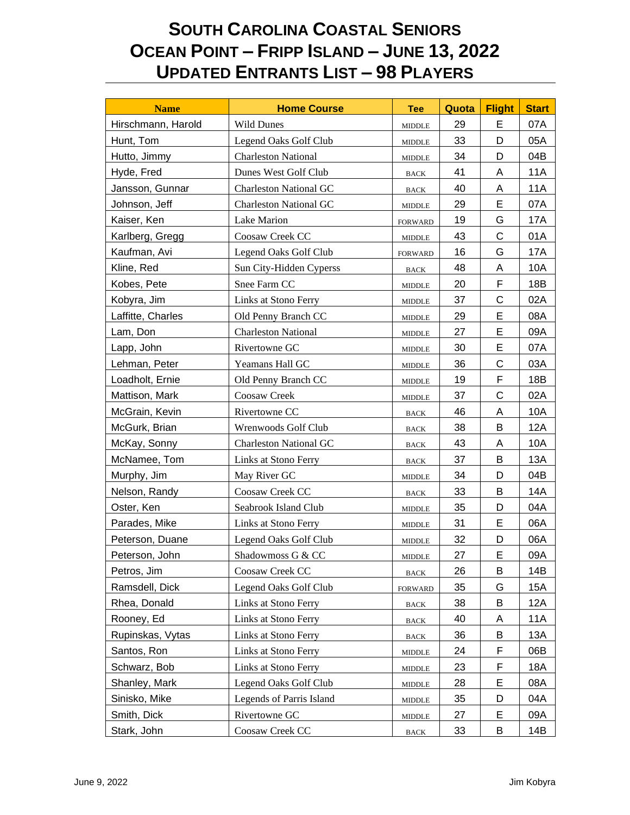## **SOUTH CAROLINA COASTAL SENIORS OCEAN POINT – FRIPP ISLAND – JUNE 13, 2022 UPDATED ENTRANTS LIST – 98 PLAYERS**

| <b>Name</b>        | <b>Home Course</b>            | <b>Tee</b>                     | Quota | <b>Flight</b> | <b>Start</b> |
|--------------------|-------------------------------|--------------------------------|-------|---------------|--------------|
| Hirschmann, Harold | <b>Wild Dunes</b>             | <b>MIDDLE</b>                  | 29    | E             | 07A          |
| Hunt, Tom          | Legend Oaks Golf Club         | $\ensuremath{\mathsf{MIDDLE}}$ | 33    | D             | 05A          |
| Hutto, Jimmy       | <b>Charleston National</b>    | <b>MIDDLE</b>                  | 34    | D             | 04B          |
| Hyde, Fred         | Dunes West Golf Club          | <b>BACK</b>                    | 41    | Α             | 11A          |
| Jansson, Gunnar    | <b>Charleston National GC</b> | <b>BACK</b>                    | 40    | Α             | <b>11A</b>   |
| Johnson, Jeff      | <b>Charleston National GC</b> | <b>MIDDLE</b>                  | 29    | E             | 07A          |
| Kaiser, Ken        | Lake Marion                   | <b>FORWARD</b>                 | 19    | G             | 17A          |
| Karlberg, Gregg    | Coosaw Creek CC               | <b>MIDDLE</b>                  | 43    | C             | 01A          |
| Kaufman, Avi       | Legend Oaks Golf Club         | <b>FORWARD</b>                 | 16    | G             | 17A          |
| Kline, Red         | Sun City-Hidden Cyperss       | <b>BACK</b>                    | 48    | A             | 10A          |
| Kobes, Pete        | Snee Farm CC                  | <b>MIDDLE</b>                  | 20    | F             | 18B          |
| Kobyra, Jim        | Links at Stono Ferry          | <b>MIDDLE</b>                  | 37    | C             | 02A          |
| Laffitte, Charles  | Old Penny Branch CC           | <b>MIDDLE</b>                  | 29    | E             | 08A          |
| Lam, Don           | <b>Charleston National</b>    | <b>MIDDLE</b>                  | 27    | E             | 09A          |
| Lapp, John         | Rivertowne GC                 | <b>MIDDLE</b>                  | 30    | E             | 07A          |
| Lehman, Peter      | Yeamans Hall GC               | <b>MIDDLE</b>                  | 36    | C             | 03A          |
| Loadholt, Ernie    | Old Penny Branch CC           | <b>MIDDLE</b>                  | 19    | F             | 18B          |
| Mattison, Mark     | Coosaw Creek                  | <b>MIDDLE</b>                  | 37    | C             | 02A          |
| McGrain, Kevin     | Rivertowne CC                 | <b>BACK</b>                    | 46    | Α             | 10A          |
| McGurk, Brian      | Wrenwoods Golf Club           | <b>BACK</b>                    | 38    | B             | 12A          |
| McKay, Sonny       | <b>Charleston National GC</b> | <b>BACK</b>                    | 43    | Α             | 10A          |
| McNamee, Tom       | Links at Stono Ferry          | <b>BACK</b>                    | 37    | B             | 13A          |
| Murphy, Jim        | May River GC                  | <b>MIDDLE</b>                  | 34    | D             | 04B          |
| Nelson, Randy      | Coosaw Creek CC               | <b>BACK</b>                    | 33    | В             | 14A          |
| Oster, Ken         | Seabrook Island Club          | <b>MIDDLE</b>                  | 35    | D             | 04A          |
| Parades, Mike      | Links at Stono Ferry          | <b>MIDDLE</b>                  | 31    | E             | 06A          |
| Peterson, Duane    | Legend Oaks Golf Club         | <b>MIDDLE</b>                  | 32    | D             | 06A          |
| Peterson, John     | Shadowmoss G & CC             | MIDDLE.                        | 27    | E             | 09A          |
| Petros, Jim        | Coosaw Creek CC               | <b>BACK</b>                    | 26    | B             | 14B          |
| Ramsdell, Dick     | Legend Oaks Golf Club         | <b>FORWARD</b>                 | 35    | G             | 15A          |
| Rhea, Donald       | Links at Stono Ferry          | <b>BACK</b>                    | 38    | B             | 12A          |
| Rooney, Ed         | Links at Stono Ferry          | <b>BACK</b>                    | 40    | Α             | <b>11A</b>   |
| Rupinskas, Vytas   | Links at Stono Ferry          | <b>BACK</b>                    | 36    | B             | 13A          |
| Santos, Ron        | Links at Stono Ferry          | <b>MIDDLE</b>                  | 24    | F             | 06B          |
| Schwarz, Bob       | Links at Stono Ferry          | <b>MIDDLE</b>                  | 23    | F             | 18A          |
| Shanley, Mark      | Legend Oaks Golf Club         | <b>MIDDLE</b>                  | 28    | E             | 08A          |
| Sinisko, Mike      | Legends of Parris Island      | <b>MIDDLE</b>                  | 35    | D             | 04A          |
| Smith, Dick        | Rivertowne GC                 | <b>MIDDLE</b>                  | 27    | Е             | 09A          |
| Stark, John        | Coosaw Creek CC               | <b>BACK</b>                    | 33    | B             | 14B          |